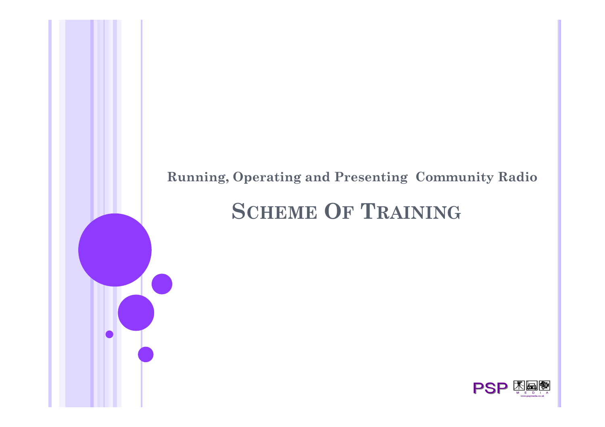#### **Running, Operating and Presenting Community Radio**

# **SCHEME OF TRAINING**

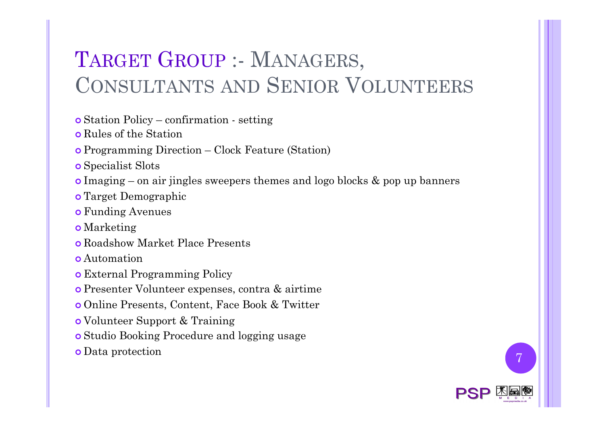# TARGET GROUP :- MANAGERS, CONSULTANTS AND SENIOR VOLUNTEERS

- ! Station Policy confirmation setting
- o Rules of the Station
- **o** Programming Direction Clock Feature (Station)
- **o** Specialist Slots
- ! Imaging on air jingles sweepers themes and logo blocks & pop up banners
- o Target Demographic
- o Funding Avenues
- o Marketing
- ! Roadshow Market Place Presents
- **.** Automation
- **o** External Programming Policy
- ! Presenter Volunteer expenses, contra & airtime
- ! Online Presents, Content, Face Book & Twitter
- o Volunteer Support & Training
- **.** Studio Booking Procedure and logging usage
- **o** Data protection **7**

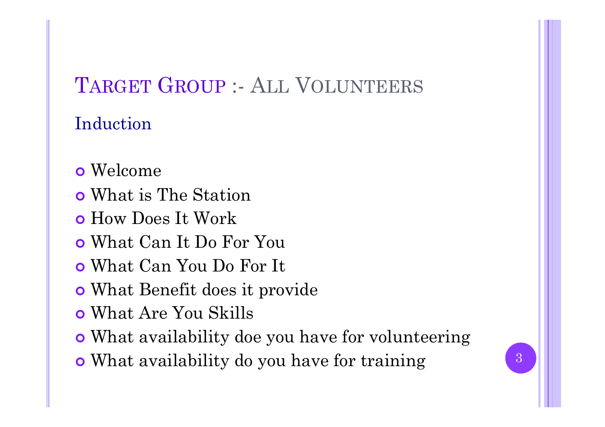# TARGET GROUP :- ALL VOLUNTEERS

### Induction

- o Welcome
- **o** What is The Station
- **o** How Does It Work
- ! What Can It Do For You
- ! What Can You Do For It
- **o** What Benefit does it provide
- ! What Are You Skills
- ! What availability doe you have for volunteering
- What availability do you have for training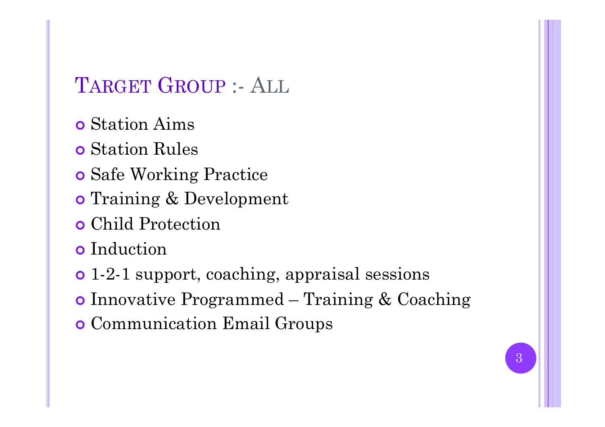## TARGET GROUP :- ALL

- **o** Station Aims
- **o** Station Rules
- **o** Safe Working Practice
- o Training & Development
- **o** Child Protection
- **o** Induction
- 1-2-1 support, coaching, appraisal sessions
- **o** Innovative Programmed Training & Coaching
- **o** Communication Email Groups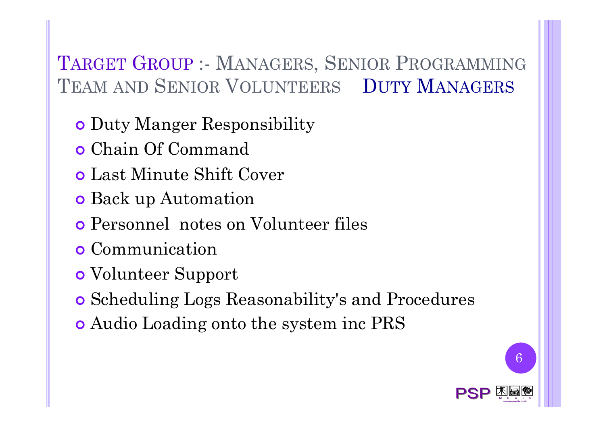### TARGET GROUP :- MANAGERS, SENIOR PROGRAMMING TEAM AND SENIOR VOLUNTEERS DUTY MANAGERS

- **. Duty Manger Responsibility**
- ! Chain Of Command
- **o** Last Minute Shift Cover
- **o** Back up Automation
- ! Personnel notes on Volunteer files
- **o** Communication
- o Volunteer Support
- ! Scheduling Logs Reasonability's and Procedures
- ! Audio Loading onto the system inc PRS



6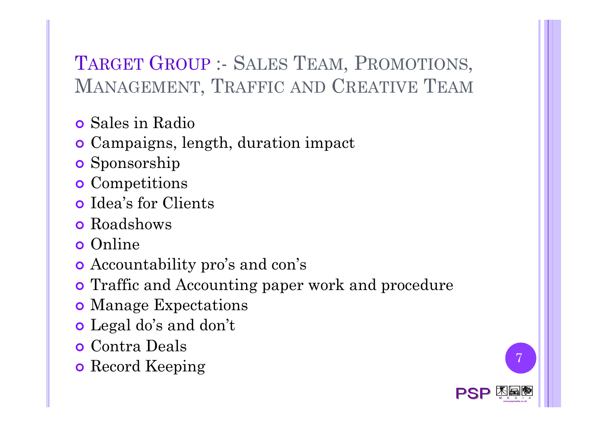## TARGET GROUP :- SALES TEAM, PROMOTIONS, MANAGEMENT, TRAFFIC AND CREATIVE TEAM

- **o** Sales in Radio
- ! Campaigns, length, duration impact
- **o** Sponsorship
- **o** Competitions
- o Idea's for Clients
- **o** Roadshows
- o Online
- **•** Accountability pro's and con's
- **Traffic and Accounting paper work and procedure**
- **o** Manage Expectations
- o Legal do's and don't
- **o** Contra Deals
- **o** Record Keeping

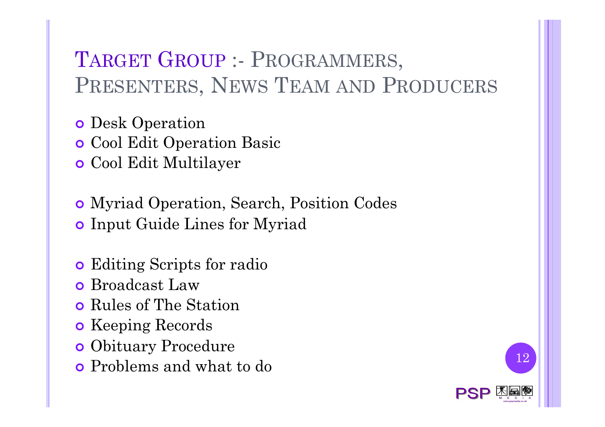# TARGET GROUP :- PROGRAMMERS, PRESENTERS, NEWS TEAM AND PRODUCERS

**o** Desk Operation

**o** Cool Edit Operation Basic

**o** Cool Edit Multilayer

! Myriad Operation, Search, Position Codes **o** Input Guide Lines for Myriad

- **.** Editing Scripts for radio
- **o** Broadcast Law
- **o** Rules of The Station
- **o** Keeping Records
- **.** Obituary Procedure
- Problems and what to do 12

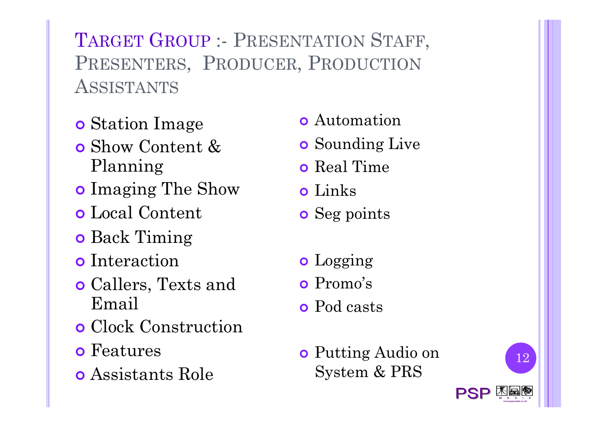TARGET GROUP :- PRESENTATION STAFF, PRESENTERS, PRODUCER, PRODUCTION **ASSISTANTS** 

- **o** Station Image
- ! Show Content & Planning
- **o** Imaging The Show
- ! Local Content
- **o** Back Timing
- **o** Interaction
- **o** Callers, Texts and Email
- **o** Clock Construction
- **o** Features
- **o** Assistants Role
- **o** Automation
- **o** Sounding Live
- **o** Real Time
- **o** Links
- **o** Seg points
- o Logging
- o Promo's
- o Pod casts
- **o** Putting Audio on System & PRS